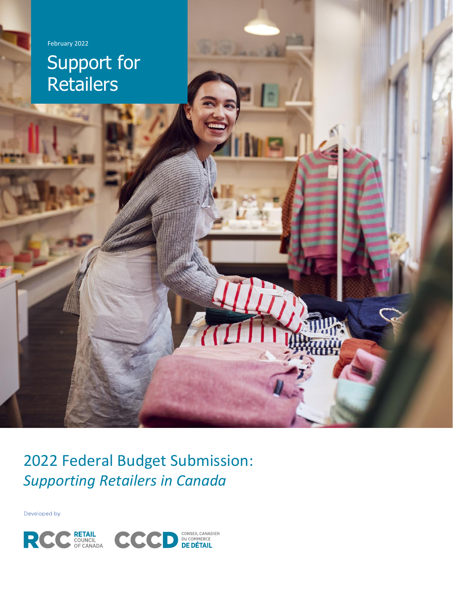

# Support for **Retailers**

2022 Federal Budget Submission: *Supporting Retailers in Canada*

Developed by

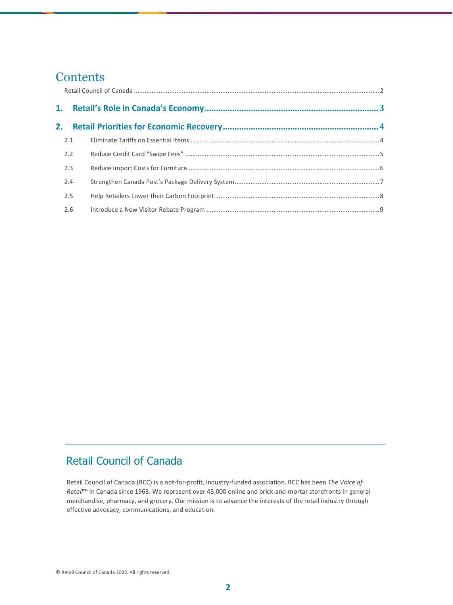## **Contents**

| 2.1 |  |
|-----|--|
| 2.2 |  |
| 2.3 |  |
| 2.4 |  |
| 2.5 |  |
| 2.6 |  |

## <span id="page-1-0"></span>Retail Council of Canada

Retail Council of Canada (RCC) is a not-for-profit, industry-funded association. RCC has been *The Voice of Retail*™ in Canada since 1963. We represent over 45,000 online and brick-and-mortar storefronts in general merchandise, pharmacy, and grocery. Our mission is to advance the interests of the retail industry through effective advocacy, communications, and education.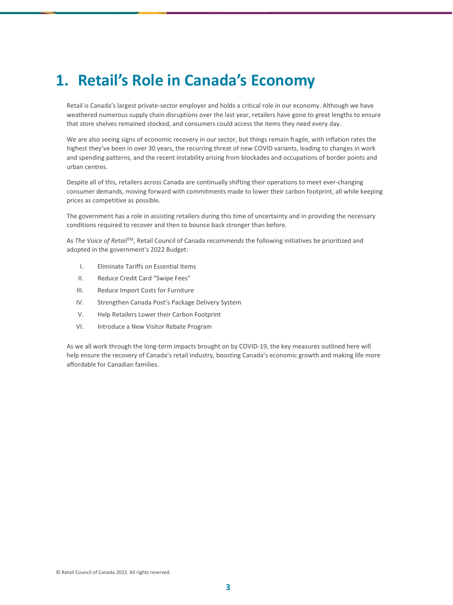## <span id="page-2-0"></span>**1. Retail's Role in Canada's Economy**

Retail is Canada's largest private-sector employer and holds a critical role in our economy. Although we have weathered numerous supply chain disruptions over the last year, retailers have gone to great lengths to ensure that store shelves remained stocked, and consumers could access the items they need every day.

We are also seeing signs of economic recovery in our sector, but things remain fragile, with inflation rates the highest they've been in over 30 years, the recurring threat of new COVID variants, leading to changes in work and spending patterns, and the recent instability arising from blockades and occupations of border points and urban centres.

Despite all of this, retailers across Canada are continually shifting their operations to meet ever-changing consumer demands, moving forward with commitments made to lower their carbon footprint, all while keeping prices as competitive as possible.

The government has a role in assisting retailers during this time of uncertainty and in providing the necessary conditions required to recover and then to bounce back stronger than before.

As *The Voice of Retail*TM, Retail Council of Canada recommends the following initiatives be prioritized and adopted in the government's 2022 Budget:

- I. Eliminate Tariffs on Essential Items
- II. Reduce Credit Card "Swipe Fees"
- III. Reduce Import Costs for Furniture
- IV. Strengthen Canada Post's Package Delivery System
- V. Help Retailers Lower their Carbon Footprint
- VI. Introduce a New Visitor Rebate Program

As we all work through the long-term impacts brought on by COVID-19, the key measures outlined here will help ensure the recovery of Canada's retail industry, boosting Canada's economic growth and making life more affordable for Canadian families.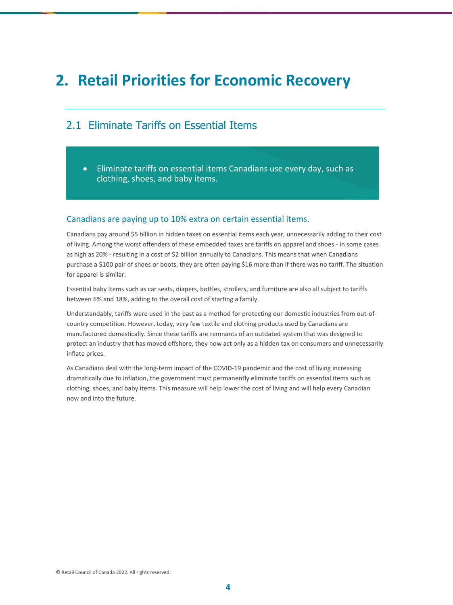## <span id="page-3-0"></span>**2. Retail Priorities for Economic Recovery**

## <span id="page-3-1"></span>2.1 Eliminate Tariffs on Essential Items

• Eliminate tariffs on essential items Canadians use every day, such as clothing, shoes, and baby items.

#### Canadians are paying up to 10% extra on certain essential items.

Canadians pay around \$5 billion in hidden taxes on essential items each year, unnecessarily adding to their cost of living. Among the worst offenders of these embedded taxes are tariffs on apparel and shoes - in some cases as high as 20% - resulting in a cost of \$2 billion annually to Canadians. This means that when Canadians purchase a \$100 pair of shoes or boots, they are often paying \$16 more than if there was no tariff. The situation for apparel is similar.

Essential baby items such as car seats, diapers, bottles, strollers, and furniture are also all subject to tariffs between 6% and 18%, adding to the overall cost of starting a family.

Understandably, tariffs were used in the past as a method for protecting our domestic industries from out-ofcountry competition. However, today, very few textile and clothing products used by Canadians are manufactured domestically. Since these tariffs are remnants of an outdated system that was designed to protect an industry that has moved offshore, they now act only as a hidden tax on consumers and unnecessarily inflate prices.

As Canadians deal with the long-term impact of the COVID-19 pandemic and the cost of living increasing dramatically due to inflation, the government must permanently eliminate tariffs on essential items such as clothing, shoes, and baby items. This measure will help lower the cost of living and will help every Canadian now and into the future.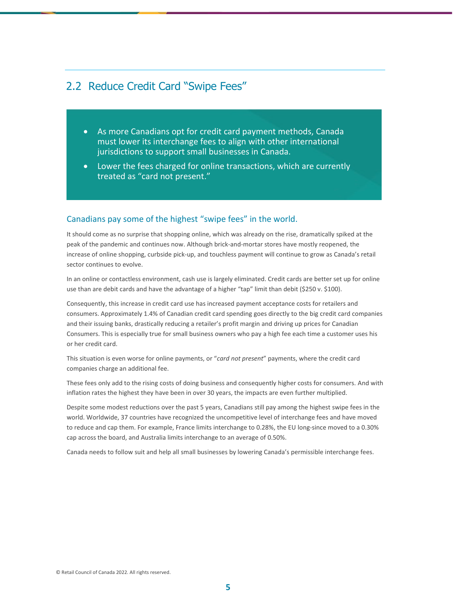### 2.2 Reduce Credit Card "Swipe Fees"

- <span id="page-4-0"></span>• As more Canadians opt for credit card payment methods, Canada must lower its interchange fees to align with other international jurisdictions to support small businesses in Canada.
- Lower the fees charged for online transactions, which are currently treated as "card not present."

#### Canadians pay some of the highest "swipe fees" in the world.

It should come as no surprise that shopping online, which was already on the rise, dramatically spiked at the peak of the pandemic and continues now. Although brick-and-mortar stores have mostly reopened, the increase of online shopping, curbside pick-up, and touchless payment will continue to grow as Canada's retail sector continues to evolve.

In an online or contactless environment, cash use is largely eliminated. Credit cards are better set up for online use than are debit cards and have the advantage of a higher "tap" limit than debit (\$250 v. \$100).

Consequently, this increase in credit card use has increased payment acceptance costs for retailers and consumers. Approximately 1.4% of Canadian credit card spending goes directly to the big credit card companies and their issuing banks, drastically reducing a retailer's profit margin and driving up prices for Canadian Consumers. This is especially true for small business owners who pay a high fee each time a customer uses his or her credit card.

This situation is even worse for online payments, or "*card not present*" payments, where the credit card companies charge an additional fee.

These fees only add to the rising costs of doing business and consequently higher costs for consumers. And with inflation rates the highest they have been in over 30 years, the impacts are even further multiplied.

Despite some modest reductions over the past 5 years, Canadians still pay among the highest swipe fees in the world. Worldwide, 37 countries have recognized the uncompetitive level of interchange fees and have moved to reduce and cap them. For example, France limits interchange to 0.28%, the EU long-since moved to a 0.30% cap across the board, and Australia limits interchange to an average of 0.50%.

Canada needs to follow suit and help all small businesses by lowering Canada's permissible interchange fees.

© Retail Council of Canada 2022. All rights reserved.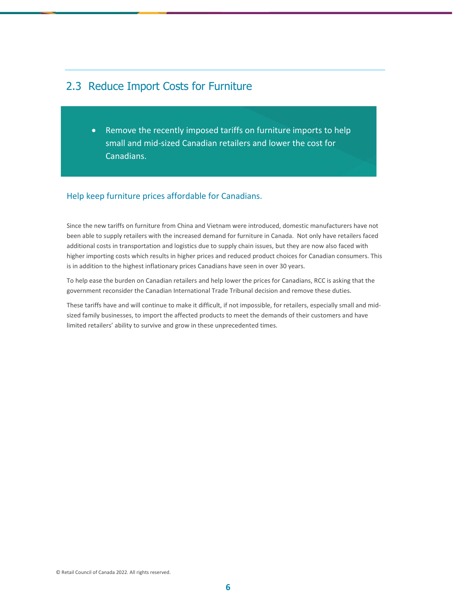## <span id="page-5-0"></span>2.3 Reduce Import Costs for Furniture

• Remove the recently imposed tariffs on furniture imports to help small and mid-sized Canadian retailers and lower the cost for Canadians.

#### Help keep furniture prices affordable for Canadians.

Since the new tariffs on furniture from China and Vietnam were introduced, domestic manufacturers have not been able to supply retailers with the increased demand for furniture in Canada. Not only have retailers faced additional costs in transportation and logistics due to supply chain issues, but they are now also faced with higher importing costs which results in higher prices and reduced product choices for Canadian consumers. This is in addition to the highest inflationary prices Canadians have seen in over 30 years.

To help ease the burden on Canadian retailers and help lower the prices for Canadians, RCC is asking that the government reconsider the Canadian International Trade Tribunal decision and remove these duties.

These tariffs have and will continue to make it difficult, if not impossible, for retailers, especially small and midsized family businesses, to import the affected products to meet the demands of their customers and have limited retailers' ability to survive and grow in these unprecedented times.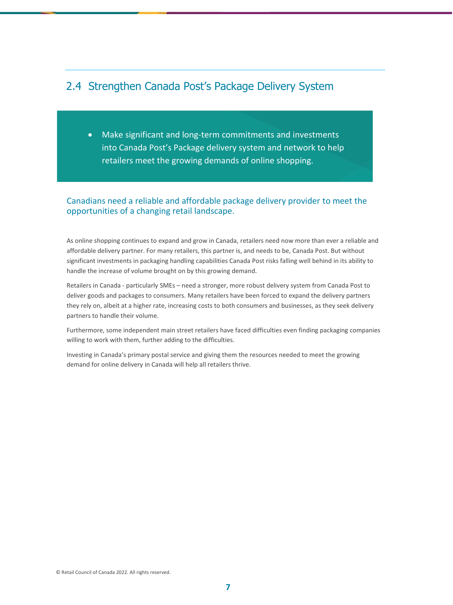## <span id="page-6-0"></span>2.4 Strengthen Canada Post's Package Delivery System

• Make significant and long-term commitments and investments into Canada Post's Package delivery system and network to help retailers meet the growing demands of online shopping.

#### Canadians need a reliable and affordable package delivery provider to meet the opportunities of a changing retail landscape.

As online shopping continues to expand and grow in Canada, retailers need now more than ever a reliable and affordable delivery partner. For many retailers, this partner is, and needs to be, Canada Post. But without significant investments in packaging handling capabilities Canada Post risks falling well behind in its ability to handle the increase of volume brought on by this growing demand.

Retailers in Canada - particularly SMEs – need a stronger, more robust delivery system from Canada Post to deliver goods and packages to consumers. Many retailers have been forced to expand the delivery partners they rely on, albeit at a higher rate, increasing costs to both consumers and businesses, as they seek delivery partners to handle their volume.

Furthermore, some independent main street retailers have faced difficulties even finding packaging companies willing to work with them, further adding to the difficulties.

Investing in Canada's primary postal service and giving them the resources needed to meet the growing demand for online delivery in Canada will help all retailers thrive.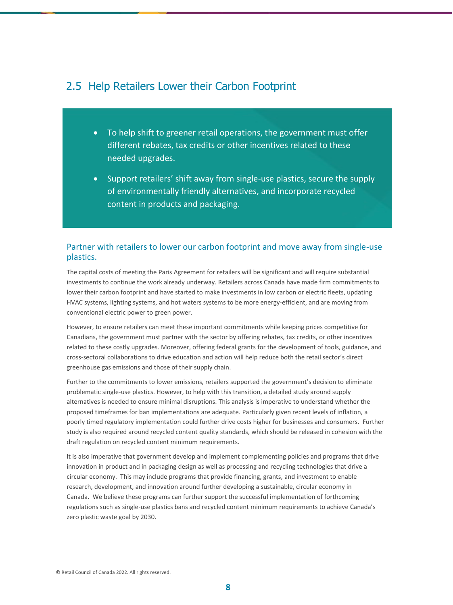#### <span id="page-7-0"></span>2.5 Help Retailers Lower their Carbon Footprint

- To help shift to greener retail operations, the government must offer different rebates, tax credits or other incentives related to these needed upgrades.
- Support retailers' shift away from single-use plastics, secure the supply of environmentally friendly alternatives, and incorporate recycled content in products and packaging.

#### Partner with retailers to lower our carbon footprint and move away from single-use plastics.

The capital costs of meeting the Paris Agreement for retailers will be significant and will require substantial investments to continue the work already underway. Retailers across Canada have made firm commitments to lower their carbon footprint and have started to make investments in low carbon or electric fleets, updating HVAC systems, lighting systems, and hot waters systems to be more energy-efficient, and are moving from conventional electric power to green power.

However, to ensure retailers can meet these important commitments while keeping prices competitive for Canadians, the government must partner with the sector by offering rebates, tax credits, or other incentives related to these costly upgrades. Moreover, offering federal grants for the development of tools, guidance, and cross-sectoral collaborations to drive education and action will help reduce both the retail sector's direct greenhouse gas emissions and those of their supply chain.

Further to the commitments to lower emissions, retailers supported the government's decision to eliminate problematic single-use plastics. However, to help with this transition, a detailed study around supply alternatives is needed to ensure minimal disruptions. This analysis is imperative to understand whether the proposed timeframes for ban implementations are adequate. Particularly given recent levels of inflation, a poorly timed regulatory implementation could further drive costs higher for businesses and consumers. Further study is also required around recycled content quality standards, which should be released in cohesion with the draft regulation on recycled content minimum requirements.

It is also imperative that government develop and implement complementing policies and programs that drive innovation in product and in packaging design as well as processing and recycling technologies that drive a circular economy. This may include programs that provide financing, grants, and investment to enable research, development, and innovation around further developing a sustainable, circular economy in Canada. We believe these programs can further support the successful implementation of forthcoming regulations such as single-use plastics bans and recycled content minimum requirements to achieve Canada's zero plastic waste goal by 2030.